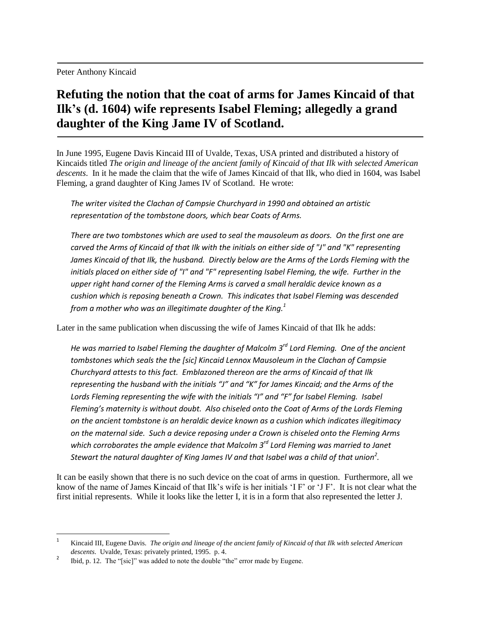Peter Anthony Kincaid

## **Refuting the notion that the coat of arms for James Kincaid of that Ilk's (d. 1604) wife represents Isabel Fleming; allegedly a grand daughter of the King Jame IV of Scotland.**

In June 1995, Eugene Davis Kincaid III of Uvalde, Texas, USA printed and distributed a history of Kincaids titled *The origin and lineage of the ancient family of Kincaid of that Ilk with selected American descents*. In it he made the claim that the wife of James Kincaid of that Ilk, who died in 1604, was Isabel Fleming, a grand daughter of King James IV of Scotland. He wrote:

*The writer visited the Clachan of Campsie Churchyard in 1990 and obtained an artistic representation of the tombstone doors, which bear Coats of Arms.*

*There are two tombstones which are used to seal the mausoleum as doors. On the first one are carved the Arms of Kincaid of that Ilk with the initials on either side of "J" and "K" representing*  James Kincaid of that Ilk, the husband. Directly below are the Arms of the Lords Fleming with the *initials placed on either side of "I" and "F" representing Isabel Fleming, the wife. Further in the upper right hand corner of the Fleming Arms is carved a small heraldic device known as a cushion which is reposing beneath a Crown. This indicates that Isabel Fleming was descended from a mother who was an illegitimate daughter of the King.<sup>1</sup>*

Later in the same publication when discussing the wife of James Kincaid of that Ilk he adds:

*He was married to Isabel Fleming the daughter of Malcolm 3rd Lord Fleming. One of the ancient tombstones which seals the the [sic] Kincaid Lennox Mausoleum in the Clachan of Campsie Churchyard attests to this fact. Emblazoned thereon are the arms of Kincaid of that Ilk representing the husband with the initials "J" and "K" for James Kincaid; and the Arms of the Lords Fleming representing the wife with the initials "I" and "F" for Isabel Fleming. Isabel Fleming's maternity is without doubt. Also chiseled onto the Coat of Arms of the Lords Fleming on the ancient tombstone is an heraldic device known as a cushion which indicates illegitimacy on the maternal side. Such a device reposing under a Crown is chiseled onto the Fleming Arms which corroborates the ample evidence that Malcolm 3rd Lord Fleming was married to Janet Stewart the natural daughter of King James IV and that Isabel was a child of that union<sup>2</sup> .*

It can be easily shown that there is no such device on the coat of arms in question. Furthermore, all we know of the name of James Kincaid of that Ilk"s wife is her initials "I F" or "J F". It is not clear what the first initial represents. While it looks like the letter I, it is in a form that also represented the letter J.

 $\overline{\phantom{a}}$ 

<sup>1</sup> Kincaid III, Eugene Davis. *The origin and lineage of the ancient family of Kincaid of that Ilk with selected American descents*. Uvalde, Texas: privately printed, 1995. p. 4.

<sup>2</sup> Ibid, p. 12. The "[sic]" was added to note the double "the" error made by Eugene.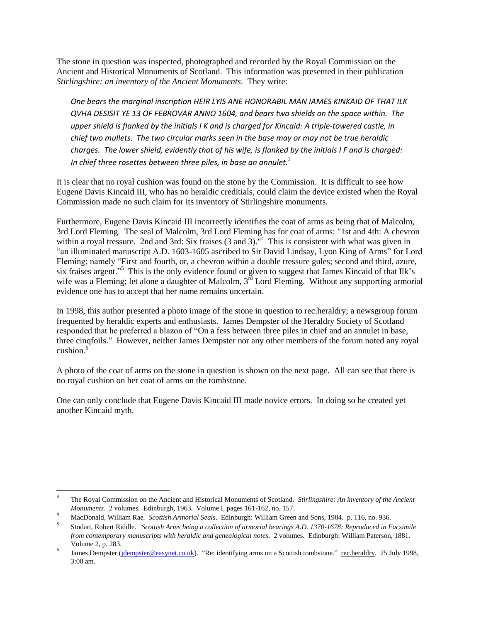The stone in question was inspected, photographed and recorded by the Royal Commission on the Ancient and Historical Monuments of Scotland. This information was presented in their publication *Stirlingshire: an inventory of the Ancient Monuments*. They write:

*One bears the marginal inscription HEIR LYIS ANE HONORABIL MAN IAMES KINKAID OF THAT ILK QVHA DESISIT YE 13 OF FEBROVAR ANNO 1604, and bears two shields on the space within. The upper shield is flanked by the initials I K and is charged for Kincaid: A triple-towered castle, in chief two mullets. The two circular marks seen in the base may or may not be true heraldic charges. The lower shield, evidently that of his wife, is flanked by the initials I F and is charged: In chief three rosettes between three piles, in base an annulet.<sup>3</sup>*

It is clear that no royal cushion was found on the stone by the Commission. It is difficult to see how Eugene Davis Kincaid III, who has no heraldic creditials, could claim the device existed when the Royal Commission made no such claim for its inventory of Stirlingshire monuments.

Furthermore, Eugene Davis Kincaid III incorrectly identifies the coat of arms as being that of Malcolm, 3rd Lord Fleming. The seal of Malcolm, 3rd Lord Fleming has for coat of arms: "1st and 4th: A chevron within a royal tressure. 2nd and 3rd: Six fraises  $(3 \text{ and } 3)$ .<sup>"4</sup> This is consistent with what was given in "an illuminated manuscript A.D. 1603-1605 ascribed to Sir David Lindsay, Lyon King of Arms" for Lord Fleming; namely "First and fourth, or, a chevron within a double tressure gules; second and third, azure, six fraises argent."<sup>5</sup> This is the only evidence found or given to suggest that James Kincaid of that Ilk's wife was a Fleming; let alone a daughter of Malcolm,  $3^{rd}$  Lord Fleming. Without any supporting armorial evidence one has to accept that her name remains uncertain.

In 1998, this author presented a photo image of the stone in question to rec.heraldry; a newsgroup forum frequented by heraldic experts and enthusiasts. James Dempster of the Heraldry Society of Scotland responded that he preferred a blazon of "On a fess between three piles in chief and an annulet in base, three cinqfoils." However, neither James Dempster nor any other members of the forum noted any royal cushion. 6

A photo of the coat of arms on the stone in question is shown on the next page. All can see that there is no royal cushion on her coat of arms on the tombstone.

One can only conclude that Eugene Davis Kincaid III made novice errors. In doing so he created yet another Kincaid myth.

 $\overline{\phantom{a}}$ 

<sup>3</sup> The Royal Commission on the Ancient and Historical Monuments of Scotland. *Stirlingshire: An inventory of the Ancient Monuments*. 2 volumes. Edinburgh, 1963. Volume I, pages 161-162, no. 157.

<sup>4</sup> MacDonald, William Rae*. Scottish Armorial Seals*. Edinburgh: William Green and Sons, 1904. p. 116, no. 936.

<sup>5</sup> Stodart, Robert Riddle. *Scottish Arms being a collection of armorial bearings A.D. 1370-1678: Reproduced in Facsimile from contemporary manuscripts with heraldic and genealogical notes*. 2 volumes. Edinburgh: William Paterson, 1881. Volume 2, p. 283.

<sup>6</sup> James Dempster [\(jdempster@easynet.co.uk\)](mailto:jdempster@easynet.co.uk). "Re: identifying arms on a Scottish tombstone." rec.heraldry*.* 25 July 1998, 3:00 am.